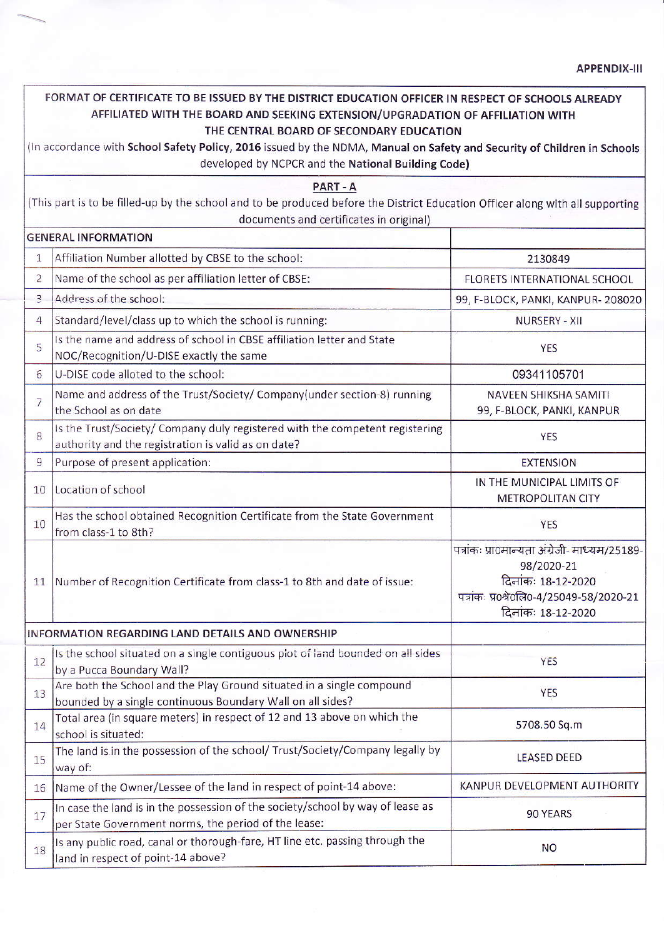APPENDIX-III

## FORMAT OF CERTIFICATE TO BE ISSUED BY THE DISTRICT EDUCATION OFFICER IN RESPECT OF SCHOOLS ALREADY AFFILIATED WITH THE BOARD AND SEEKING EXTENSION/UPGRADATION OF AFFILIATION WITH THE CENTRAL BOARD OF SECONDARY EDUCATION

(ln accordance with School Safetv Policy, 2016 issued by the NDMA, Manual on Safety and Security of Children in Schools developed by NCPCR and the National Building Code)

|                                                                                                                                | PART - A                                           |         |  |  |  |  |
|--------------------------------------------------------------------------------------------------------------------------------|----------------------------------------------------|---------|--|--|--|--|
| (This part is to be filled-up by the school and to be produced before the District Education Officer along with all supporting |                                                    |         |  |  |  |  |
|                                                                                                                                | documents and certificates in original)            |         |  |  |  |  |
| GENERAL INFORMATION                                                                                                            |                                                    |         |  |  |  |  |
|                                                                                                                                | Affiliation Number allotted by CBSE to the school: | 2130849 |  |  |  |  |
|                                                                                                                                |                                                    |         |  |  |  |  |

| 2                                                | Name of the school as per affiliation letter of CBSE:                                                                                  | FLORETS INTERNATIONAL SCHOOL                                                                                                                        |  |
|--------------------------------------------------|----------------------------------------------------------------------------------------------------------------------------------------|-----------------------------------------------------------------------------------------------------------------------------------------------------|--|
| $\overline{3}$                                   | Address of the school:                                                                                                                 | 99, F-BLOCK, PANKI, KANPUR-208020                                                                                                                   |  |
| $\overline{4}$                                   | Standard/level/class up to which the school is running:                                                                                | <b>NURSERY - XII</b>                                                                                                                                |  |
| 5                                                | Is the name and address of school in CBSE affiliation letter and State<br>NOC/Recognition/U-DISE exactly the same                      | <b>YES</b>                                                                                                                                          |  |
| 6                                                | U-DISE code alloted to the school:                                                                                                     | 09341105701                                                                                                                                         |  |
| $\overline{7}$                                   | Name and address of the Trust/Society/ Company(under section-8) running<br>the School as on date                                       | NAVEEN SHIKSHA SAMITI<br>99, F-BLOCK, PANKI, KANPUR                                                                                                 |  |
| 8                                                | Is the Trust/Society/ Company duly registered with the competent registering<br>authority and the registration is valid as on date?    | <b>YES</b>                                                                                                                                          |  |
| $\overline{9}$                                   | Purpose of present application:                                                                                                        | <b>EXTENSION</b>                                                                                                                                    |  |
| 10                                               | Location of school                                                                                                                     | IN THE MUNICIPAL LIMITS OF<br><b>METROPOLITAN CITY</b>                                                                                              |  |
| 10                                               | Has the school obtained Recognition Certificate from the State Government<br>from class-1 to 8th?                                      | <b>YES</b>                                                                                                                                          |  |
| 11                                               | Number of Recognition Certificate from class-1 to 8th and date of issue:                                                               | पत्रांकः प्रा0मान्यता अंग्रेजी- माध्यम/25189-<br>98/2020-21<br>दिनांकः 18-12-2020<br>पत्रांकः प्र0श्रे0लि0-4/25049-58/2020-21<br>दिनांकः 18-12-2020 |  |
| INFORMATION REGARDING LAND DETAILS AND OWNERSHIP |                                                                                                                                        |                                                                                                                                                     |  |
| 12                                               | Is the school situated on a single contiguous piot of land bounded on all sides<br>by a Pucca Boundary Wall?                           | <b>YES</b>                                                                                                                                          |  |
| 13                                               | Are both the School and the Play Ground situated in a single compound<br>bounded by a single continuous Boundary Wall on all sides?    | <b>YES</b>                                                                                                                                          |  |
| 14                                               | Total area (in square meters) in respect of 12 and 13 above on which the<br>school is situated:                                        | 5708.50 Sq.m                                                                                                                                        |  |
| 15                                               | The land is in the possession of the school/ Trust/Society/Company legally by<br>way of:                                               | <b>LEASED DEED</b>                                                                                                                                  |  |
| 16                                               | Name of the Owner/Lessee of the land in respect of point-14 above:                                                                     | KANPUR DEVELOPMENT AUTHORITY                                                                                                                        |  |
| 17                                               | In case the land is in the possession of the society/school by way of lease as<br>per State Government norms, the period of the lease: | 90 YEARS                                                                                                                                            |  |
| 18                                               | Is any public road, canal or thorough-fare, HT line etc. passing through the<br>land in respect of point-14 above?                     | <b>NO</b>                                                                                                                                           |  |